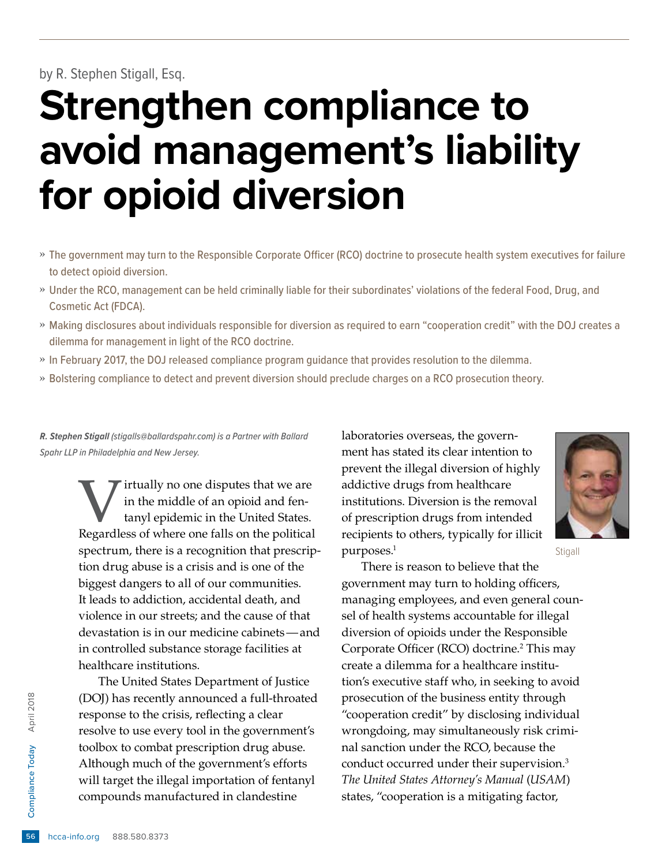by R. Stephen Stigall, Esq.

# **Strengthen compliance to avoid management's liability for opioid diversion**

- » The government may turn to the Responsible Corporate Officer (RCO) doctrine to prosecute health system executives for failure to detect opioid diversion.
- » Under the RCO, management can be held criminally liable for their subordinates' violations of the federal Food, Drug, and Cosmetic Act (FDCA).
- » Making disclosures about individuals responsible for diversion as required to earn "cooperation credit" with the DOJ creates a dilemma for management in light of the RCO doctrine.
- » In February 2017, the DOJ released compliance program guidance that provides resolution to the dilemma.
- » Bolstering compliance to detect and prevent diversion should preclude charges on a RCO prosecution theory.

*R. Stephen Stigall (stigalls@ballardspahr.com) is a Partner with Ballard Spahr LLP in Philadelphia and New Jersey.*

> Virtually no one disputes that we are<br>in the middle of an opioid and fen-<br>tanyl epidemic in the United States.<br>Regardless of where one falls on the political in the middle of an opioid and fentanyl epidemic in the United States. Regardless of where one falls on the political spectrum, there is a recognition that prescription drug abuse is a crisis and is one of the biggest dangers to all of our communities. It leads to addiction, accidental death, and violence in our streets; and the cause of that devastation is in our medicine cabinets—and in controlled substance storage facilities at healthcare institutions.

Esponse to the compliance Today of the compliance Today Although much complies<br>
a toolbox to comba<br>
Although much compliance Today<br>
Will target the illuminos<br>
Espainance Today S88.580.8373<br>
The the state of the compounds m The United States Department of Justice (DOJ) has recently announced a full-throated response to the crisis, reflecting a clear resolve to use every tool in the government's toolbox to combat prescription drug abuse. Although much of the government's efforts will target the illegal importation of fentanyl compounds manufactured in clandestine

laboratories overseas, the government has stated its clear intention to prevent the illegal diversion of highly addictive drugs from healthcare institutions. Diversion is the removal of prescription drugs from intended recipients to others, typically for illicit purposes.<sup>1</sup>



**Stigall** 

There is reason to believe that the government may turn to holding officers, managing employees, and even general counsel of health systems accountable for illegal diversion of opioids under the Responsible Corporate Officer (RCO) doctrine.<sup>2</sup> This may create a dilemma for a healthcare institution's executive staff who, in seeking to avoid prosecution of the business entity through "cooperation credit" by disclosing individual wrongdoing, may simultaneously risk criminal sanction under the RCO, because the conduct occurred under their supervision.<sup>3</sup> *The United States Attorney's Manual* (*USAM*) states, "cooperation is a mitigating factor,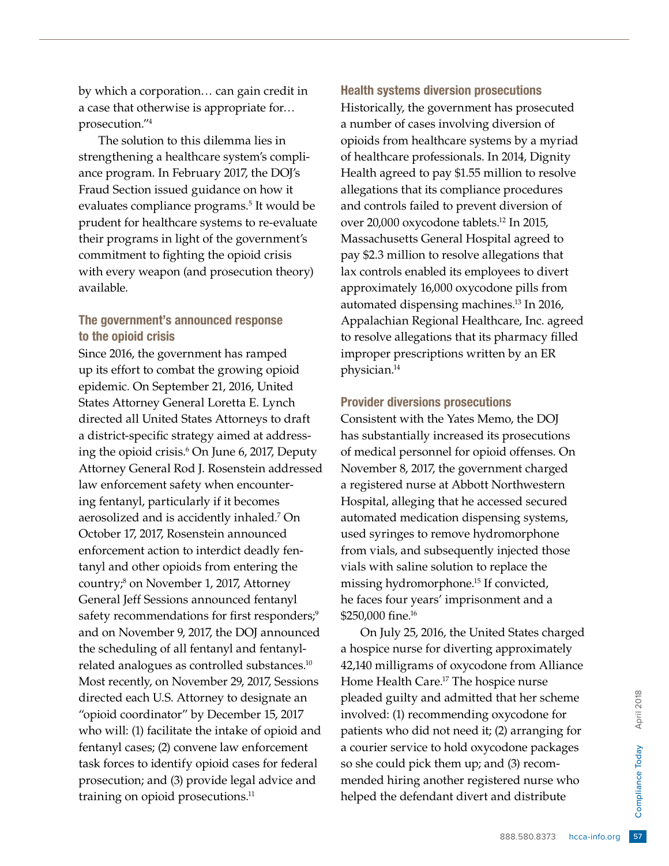by which a corporation… can gain credit in a case that otherwise is appropriate for… prosecution."4

The solution to this dilemma lies in strengthening a healthcare system's compliance program. In February 2017, the DOJ's Fraud Section issued guidance on how it evaluates compliance programs.<sup>5</sup> It would be prudent for healthcare systems to re-evaluate their programs in light of the government's commitment to fighting the opioid crisis with every weapon (and prosecution theory) available.

## The government's announced response to the opioid crisis

Since 2016, the government has ramped up its effort to combat the growing opioid epidemic. On September 21, 2016, United States Attorney General Loretta E. Lynch directed all United States Attorneys to draft a district-specific strategy aimed at addressing the opioid crisis.6 On June 6, 2017, Deputy Attorney General Rod J. Rosenstein addressed law enforcement safety when encountering fentanyl, particularly if it becomes aerosolized and is accidently inhaled.7 On October 17, 2017, Rosenstein announced enforcement action to interdict deadly fentanyl and other opioids from entering the country;8 on November 1, 2017, Attorney General Jeff Sessions announced fentanyl safety recommendations for first responders;<sup>9</sup> and on November 9, 2017, the DOJ announced the scheduling of all fentanyl and fentanylrelated analogues as controlled substances.10 Most recently, on November 29, 2017, Sessions directed each U.S. Attorney to designate an "opioid coordinator" by December 15, 2017 who will: (1) facilitate the intake of opioid and fentanyl cases; (2) convene law enforcement task forces to identify opioid cases for federal prosecution; and (3) provide legal advice and training on opioid prosecutions.<sup>11</sup>

Health systems diversion prosecutions Historically, the government has prosecuted a number of cases involving diversion of opioids from healthcare systems by a myriad of healthcare professionals. In 2014, Dignity Health agreed to pay \$1.55 million to resolve allegations that its compliance procedures and controls failed to prevent diversion of over 20,000 oxycodone tablets.12 In 2015, Massachusetts General Hospital agreed to pay \$2.3 million to resolve allegations that lax controls enabled its employees to divert approximately 16,000 oxycodone pills from automated dispensing machines.13 In 2016, Appalachian Regional Healthcare, Inc. agreed to resolve allegations that its pharmacy filled improper prescriptions written by an ER physician.14

### Provider diversions prosecutions

Consistent with the Yates Memo, the DOJ has substantially increased its prosecutions of medical personnel for opioid offenses. On November 8, 2017, the government charged a registered nurse at Abbott Northwestern Hospital, alleging that he accessed secured automated medication dispensing systems, used syringes to remove hydromorphone from vials, and subsequently injected those vials with saline solution to replace the missing hydromorphone.<sup>15</sup> If convicted, he faces four years' imprisonment and a \$250,000 fine.<sup>16</sup>

**Example 18 April 2018 April 2018 April 2018 April 2018 April 2018 April 2018 April 2018 April 2018 April 2018 April 2018 April 2018 April 2018 April 2018 April 2018 April 2018 April 2018 April 2018 April 2018 April 2018 A** On July 25, 2016, the United States charged a hospice nurse for diverting approximately 42,140 milligrams of oxycodone from Alliance Home Health Care.17 The hospice nurse pleaded guilty and admitted that her scheme involved: (1) recommending oxycodone for patients who did not need it; (2) arranging for a courier service to hold oxycodone packages so she could pick them up; and (3) recommended hiring another registered nurse who helped the defendant divert and distribute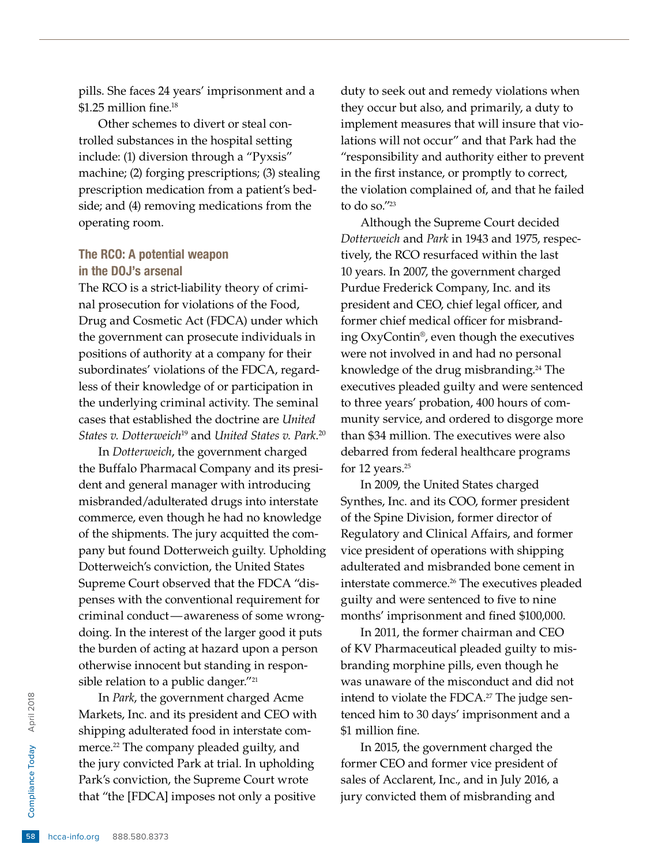pills. She faces 24 years' imprisonment and a \$1.25 million fine.<sup>18</sup>

Other schemes to divert or steal controlled substances in the hospital setting include: (1) diversion through a "Pyxsis" machine; (2) forging prescriptions; (3) stealing prescription medication from a patient's bedside; and (4) removing medications from the operating room.

# The RCO: A potential weapon in the DOJ's arsenal

The RCO is a strict-liability theory of criminal prosecution for violations of the Food, Drug and Cosmetic Act (FDCA) under which the government can prosecute individuals in positions of authority at a company for their subordinates' violations of the FDCA, regardless of their knowledge of or participation in the underlying criminal activity. The seminal cases that established the doctrine are *United States v. Dotterweich*19 and *United States v. Park*. 20

In *Dotterweich*, the government charged the Buffalo Pharmacal Company and its president and general manager with introducing misbranded/adulterated drugs into interstate commerce, even though he had no knowledge of the shipments. The jury acquitted the company but found Dotterweich guilty. Upholding Dotterweich's conviction, the United States Supreme Court observed that the FDCA "dispenses with the conventional requirement for criminal conduct—awareness of some wrongdoing. In the interest of the larger good it puts the burden of acting at hazard upon a person otherwise innocent but standing in responsible relation to a public danger."<sup>21</sup>

Especially the governmental compliance Markets, Inc. and<br>
shipping adulters<br>
merce.<sup>22</sup> The compliance Tomas April 2018<br>
That "the [FDCA]<br>
shipping conviction<br>
that "the [FDCA]<br>
shipping conviction<br>
that "the [FDCA] In *Park*, the government charged Acme Markets, Inc. and its president and CEO with shipping adulterated food in interstate commerce.<sup>22</sup> The company pleaded guilty, and the jury convicted Park at trial. In upholding Park's conviction, the Supreme Court wrote that "the [FDCA] imposes not only a positive

duty to seek out and remedy violations when they occur but also, and primarily, a duty to implement measures that will insure that violations will not occur" and that Park had the "responsibility and authority either to prevent in the first instance, or promptly to correct, the violation complained of, and that he failed to do so."23

Although the Supreme Court decided *Dotterweich* and *Park* in 1943 and 1975, respectively, the RCO resurfaced within the last 10 years. In 2007, the government charged Purdue Frederick Company, Inc. and its president and CEO, chief legal officer, and former chief medical officer for misbranding OxyContin®, even though the executives were not involved in and had no personal knowledge of the drug misbranding.<sup>24</sup> The executives pleaded guilty and were sentenced to three years' probation, 400 hours of community service, and ordered to disgorge more than \$34 million. The executives were also debarred from federal healthcare programs for 12 years.<sup>25</sup>

In 2009, the United States charged Synthes, Inc. and its COO, former president of the Spine Division, former director of Regulatory and Clinical Affairs, and former vice president of operations with shipping adulterated and misbranded bone cement in interstate commerce.<sup>26</sup> The executives pleaded guilty and were sentenced to five to nine months' imprisonment and fined \$100,000.

In 2011, the former chairman and CEO of KV Pharmaceutical pleaded guilty to misbranding morphine pills, even though he was unaware of the misconduct and did not intend to violate the FDCA.<sup>27</sup> The judge sentenced him to 30 days' imprisonment and a \$1 million fine.

In 2015, the government charged the former CEO and former vice president of sales of Acclarent, Inc., and in July 2016, a jury convicted them of misbranding and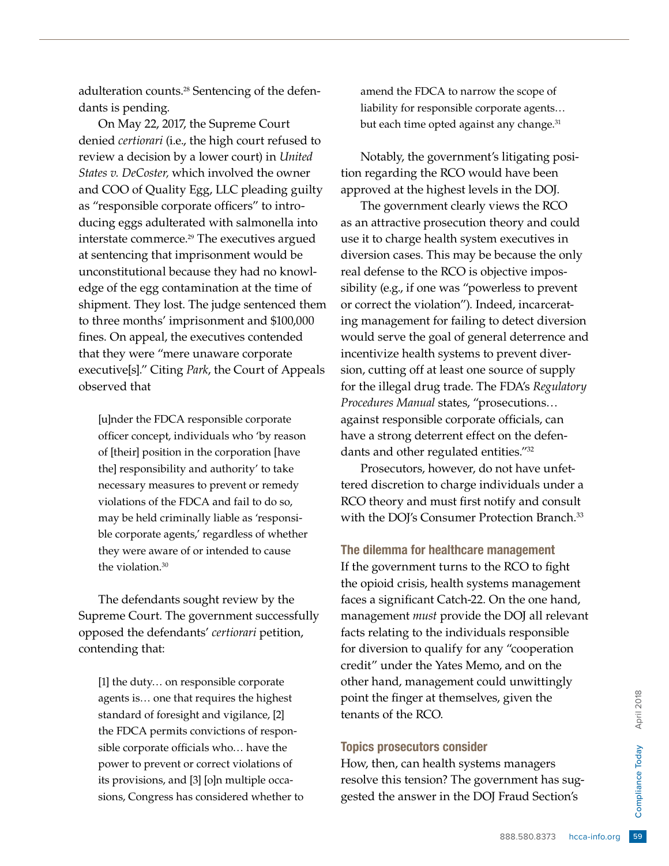adulteration counts.28 Sentencing of the defendants is pending.

On May 22, 2017, the Supreme Court denied *certiorari* (i.e., the high court refused to review a decision by a lower court) in *United States v. DeCoster,* which involved the owner and COO of Quality Egg, LLC pleading guilty as "responsible corporate officers" to introducing eggs adulterated with salmonella into interstate commerce.29 The executives argued at sentencing that imprisonment would be unconstitutional because they had no knowledge of the egg contamination at the time of shipment. They lost. The judge sentenced them to three months' imprisonment and \$100,000 fines. On appeal, the executives contended that they were "mere unaware corporate executive[s]." Citing *Park*, the Court of Appeals observed that

[u]nder the FDCA responsible corporate officer concept, individuals who 'by reason of [their] position in the corporation [have the] responsibility and authority' to take necessary measures to prevent or remedy violations of the FDCA and fail to do so, may be held criminally liable as 'responsible corporate agents,' regardless of whether they were aware of or intended to cause the violation.<sup>30</sup>

The defendants sought review by the Supreme Court. The government successfully opposed the defendants' *certiorari* petition, contending that:

[1] the duty… on responsible corporate agents is… one that requires the highest standard of foresight and vigilance, [2] the FDCA permits convictions of responsible corporate officials who… have the power to prevent or correct violations of its provisions, and [3] [o]n multiple occasions, Congress has considered whether to

amend the FDCA to narrow the scope of liability for responsible corporate agents… but each time opted against any change.<sup>31</sup>

Notably, the government's litigating position regarding the RCO would have been approved at the highest levels in the DOJ.

The government clearly views the RCO as an attractive prosecution theory and could use it to charge health system executives in diversion cases. This may be because the only real defense to the RCO is objective impossibility (e.g., if one was "powerless to prevent or correct the violation"). Indeed, incarcerating management for failing to detect diversion would serve the goal of general deterrence and incentivize health systems to prevent diversion, cutting off at least one source of supply for the illegal drug trade. The FDA's *Regulatory Procedures Manual* states, "prosecutions… against responsible corporate officials, can have a strong deterrent effect on the defendants and other regulated entities."32

Prosecutors, however, do not have unfettered discretion to charge individuals under a RCO theory and must first notify and consult with the DOJ's Consumer Protection Branch.<sup>33</sup>

The dilemma for healthcare management If the government turns to the RCO to fight the opioid crisis, health systems management faces a significant Catch-22. On the one hand, management *must* provide the DOJ all relevant facts relating to the individuals responsible for diversion to qualify for any "cooperation credit" under the Yates Memo, and on the other hand, management could unwittingly point the finger at themselves, given the tenants of the RCO.

#### Topics prosecutors consider

given the<br>  $\frac{880}{20}$ <br>  $\frac{880}{20}$ <br>  $\frac{880}{20}$ <br>
Fraud Section's<br>  $\frac{888.580.8373}{20}$ <br>
hcca-info.org How, then, can health systems managers resolve this tension? The government has suggested the answer in the DOJ Fraud Section's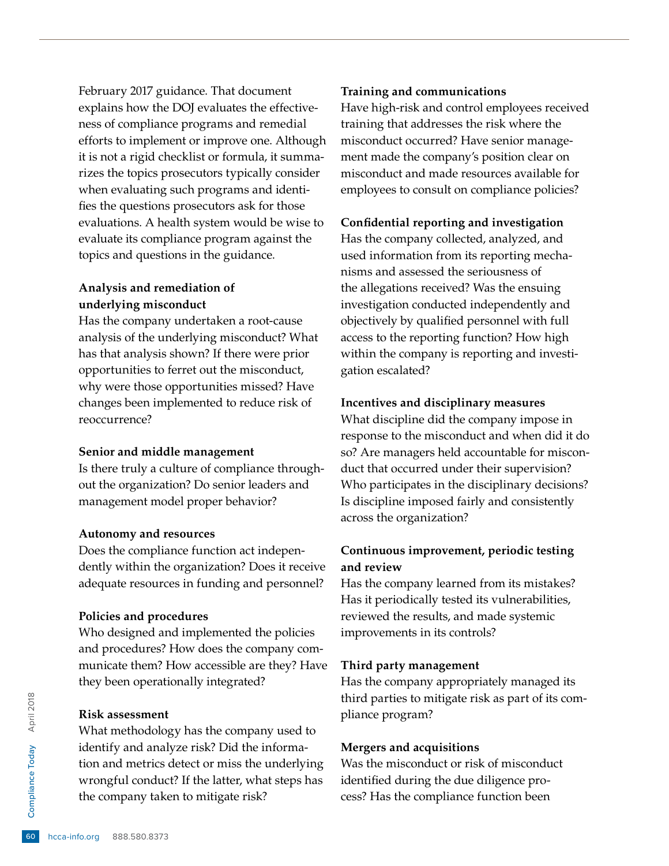February 2017 guidance. That document explains how the DOJ evaluates the effectiveness of compliance programs and remedial efforts to implement or improve one. Although it is not a rigid checklist or formula, it summarizes the topics prosecutors typically consider when evaluating such programs and identifies the questions prosecutors ask for those evaluations. A health system would be wise to evaluate its compliance program against the topics and questions in the guidance.

# **Analysis and remediation of underlying misconduct**

Has the company undertaken a root-cause analysis of the underlying misconduct? What has that analysis shown? If there were prior opportunities to ferret out the misconduct, why were those opportunities missed? Have changes been implemented to reduce risk of reoccurrence?

#### **Senior and middle management**

Is there truly a culture of compliance throughout the organization? Do senior leaders and management model proper behavior?

#### **Autonomy and resources**

Does the compliance function act independently within the organization? Does it receive adequate resources in funding and personnel?

#### **Policies and procedures**

Who designed and implemented the policies and procedures? How does the company communicate them? How accessible are they? Have they been operationally integrated?

#### **Risk assessment**

Estate Risk assessment<br>
What methodology<br>
identify and anal<br>
tion and metrics<br>
wrongful conduct<br>
the company take<br>
on<br>  $\frac{1}{2}$ <br>
company take<br>
company take<br>
company take What methodology has the company used to identify and analyze risk? Did the information and metrics detect or miss the underlying wrongful conduct? If the latter, what steps has the company taken to mitigate risk?

#### **Training and communications**

Have high-risk and control employees received training that addresses the risk where the misconduct occurred? Have senior management made the company's position clear on misconduct and made resources available for employees to consult on compliance policies?

### **Confidential reporting and investigation**

Has the company collected, analyzed, and used information from its reporting mechanisms and assessed the seriousness of the allegations received? Was the ensuing investigation conducted independently and objectively by qualified personnel with full access to the reporting function? How high within the company is reporting and investigation escalated?

### **Incentives and disciplinary measures**

What discipline did the company impose in response to the misconduct and when did it do so? Are managers held accountable for misconduct that occurred under their supervision? Who participates in the disciplinary decisions? Is discipline imposed fairly and consistently across the organization?

# **Continuous improvement, periodic testing and review**

Has the company learned from its mistakes? Has it periodically tested its vulnerabilities, reviewed the results, and made systemic improvements in its controls?

#### **Third party management**

Has the company appropriately managed its third parties to mitigate risk as part of its compliance program?

## **Mergers and acquisitions**

Was the misconduct or risk of misconduct identified during the due diligence process? Has the compliance function been